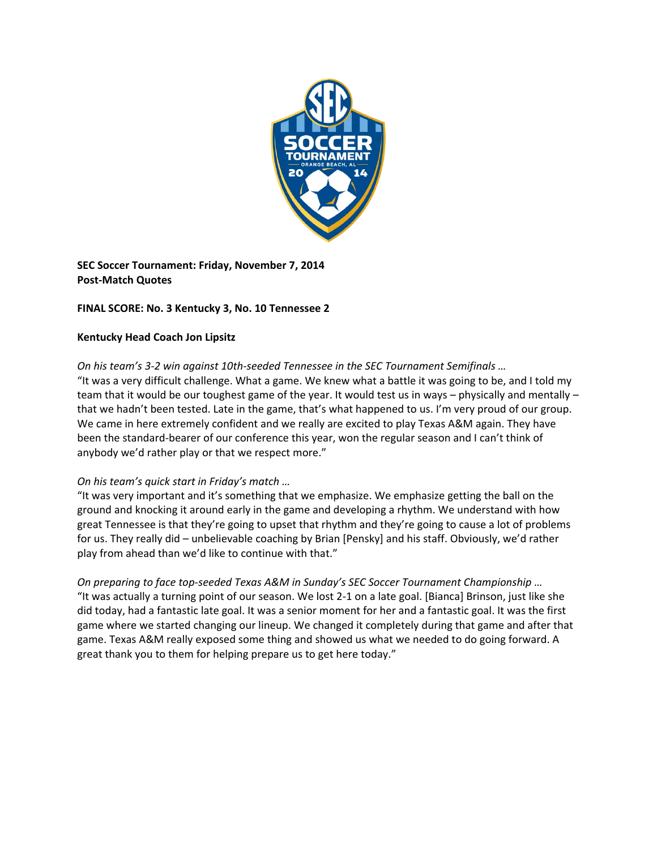

**SEC Soccer Tournament: Friday, November 7, 2014 Post‐Match Quotes**

# **FINAL SCORE: No. 3 Kentucky 3, No. 10 Tennessee 2**

## **Kentucky Head Coach Jon Lipsitz**

*On his team's 3‐2 win against 10th‐seeded Tennessee in the SEC Tournament Semifinals …*  "It was a very difficult challenge. What a game. We knew what a battle it was going to be, and I told my team that it would be our toughest game of the year. It would test us in ways – physically and mentally – that we hadn't been tested. Late in the game, that's what happened to us. I'm very proud of our group. We came in here extremely confident and we really are excited to play Texas A&M again. They have been the standard-bearer of our conference this year, won the regular season and I can't think of anybody we'd rather play or that we respect more."

# *On his team's quick start in Friday's match …*

"It was very important and it's something that we emphasize. We emphasize getting the ball on the ground and knocking it around early in the game and developing a rhythm. We understand with how great Tennessee is that they're going to upset that rhythm and they're going to cause a lot of problems for us. They really did – unbelievable coaching by Brian [Pensky] and his staff. Obviously, we'd rather play from ahead than we'd like to continue with that."

*On preparing to face top‐seeded Texas A&M in Sunday's SEC Soccer Tournament Championship …*  "It was actually a turning point of our season. We lost 2‐1 on a late goal. [Bianca] Brinson, just like she did today, had a fantastic late goal. It was a senior moment for her and a fantastic goal. It was the first game where we started changing our lineup. We changed it completely during that game and after that game. Texas A&M really exposed some thing and showed us what we needed to do going forward. A great thank you to them for helping prepare us to get here today."